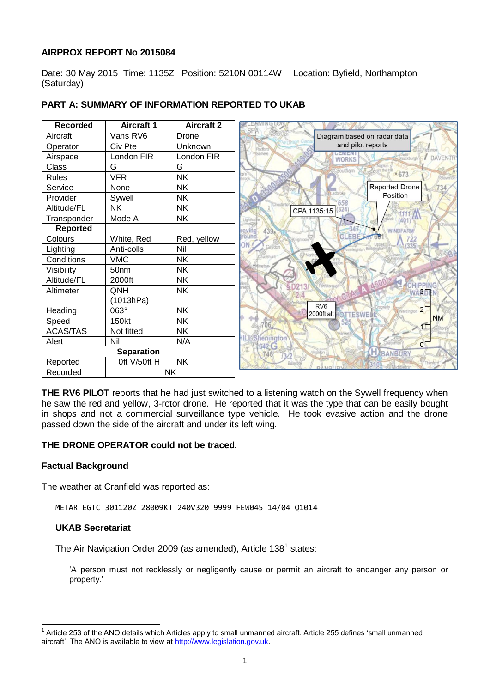### **AIRPROX REPORT No 2015084**

Date: 30 May 2015 Time: 1135Z Position: 5210N 00114W Location: Byfield, Northampton (Saturday)

| <b>Recorded</b> | <b>Aircraft 1</b> | <b>Aircraft 2</b> |
|-----------------|-------------------|-------------------|
| Aircraft        | Vans RV6          | Drone             |
| Operator        | Civ Pte           | Unknown           |
| Airspace        | London FIR        | London FIR        |
| <b>Class</b>    | G                 | G                 |
| <b>Rules</b>    | <b>VFR</b>        | <b>NK</b>         |
| Service         | None              | <b>NK</b>         |
| Provider        | Sywell            | <b>NK</b>         |
| Altitude/FL     | <b>NK</b>         | <b>NK</b>         |
| Transponder     | Mode A            | <b>NK</b>         |
| <b>Reported</b> |                   |                   |
| Colours         | White, Red        | Red, yellow       |
| Lighting        | Anti-colls        | Nil               |
| Conditions      | <b>VMC</b>        | <b>NK</b>         |
| Visibility      | 50 <sub>nm</sub>  | <b>NK</b>         |
| Altitude/FL     | 2000ft            | <b>NK</b>         |
| Altimeter       | QNH               | <b>NK</b>         |
|                 | (1013hPa)         |                   |
| Heading         | 063°              | <b>NK</b>         |
| Speed           | 150kt             | <b>NK</b>         |
| <b>ACAS/TAS</b> | Not fitted        | <b>NK</b>         |
| Alert           | Nil               | N/A               |
|                 | <b>Separation</b> |                   |
| Reported        | Oft V/50ft H      | <b>NK</b>         |
| Recorded        |                   | <b>NK</b>         |

## **PART A: SUMMARY OF INFORMATION REPORTED TO UKAB**

**THE RV6 PILOT** reports that he had just switched to a listening watch on the Sywell frequency when he saw the red and yellow, 3-rotor drone. He reported that it was the type that can be easily bought in shops and not a commercial surveillance type vehicle. He took evasive action and the drone passed down the side of the aircraft and under its left wing.

#### **THE DRONE OPERATOR could not be traced.**

#### **Factual Background**

The weather at Cranfield was reported as:

METAR EGTC 301120Z 28009KT 240V320 9999 FEW045 14/04 Q1014

### **UKAB Secretariat**

The Air Navigation Order 2009 (as amended), Article 138<sup>1</sup> states:

'A person must not recklessly or negligently cause or permit an aircraft to endanger any person or property.'

 1 Article 253 of the ANO details which Articles apply to small unmanned aircraft. Article 255 defines 'small unmanned aircraft'. The ANO is available to view a[t http://www.legislation.gov.uk.](http://www.legislation.gov.uk/)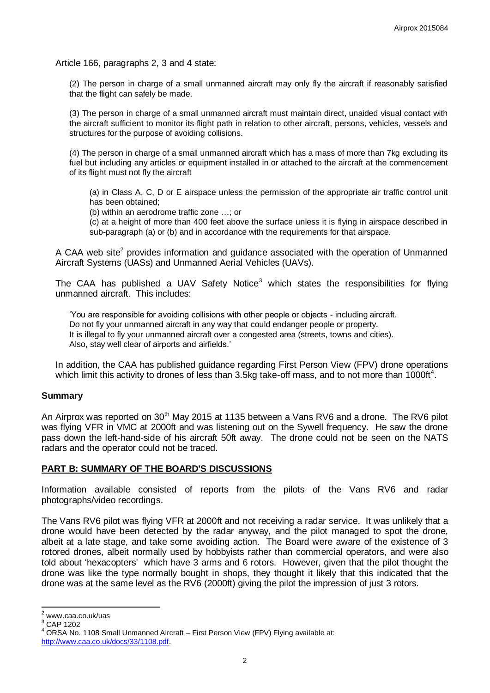Article 166, paragraphs 2, 3 and 4 state:

(2) The person in charge of a small unmanned aircraft may only fly the aircraft if reasonably satisfied that the flight can safely be made.

(3) The person in charge of a small unmanned aircraft must maintain direct, unaided visual contact with the aircraft sufficient to monitor its flight path in relation to other aircraft, persons, vehicles, vessels and structures for the purpose of avoiding collisions.

(4) The person in charge of a small unmanned aircraft which has a mass of more than 7kg excluding its fuel but including any articles or equipment installed in or attached to the aircraft at the commencement of its flight must not fly the aircraft

(a) in Class A, C, D or E airspace unless the permission of the appropriate air traffic control unit has been obtained;

(b) within an aerodrome traffic zone …; or

(c) at a height of more than 400 feet above the surface unless it is flying in airspace described in sub-paragraph (a) or (b) and in accordance with the requirements for that airspace.

A CAA web site<sup>2</sup> provides information and guidance associated with the operation of Unmanned Aircraft Systems (UASs) and Unmanned Aerial Vehicles (UAVs).

The CAA has published a UAV Safety Notice<sup>3</sup> which states the responsibilities for flying unmanned aircraft. This includes:

'You are responsible for avoiding collisions with other people or objects - including aircraft. Do not fly your unmanned aircraft in any way that could endanger people or property. It is illegal to fly your unmanned aircraft over a congested area (streets, towns and cities). Also, stay well clear of airports and airfields.'

In addition, the CAA has published guidance regarding First Person View (FPV) drone operations which limit this activity to drones of less than 3.5kg take-off mass, and to not more than 1000ft<sup>4</sup>.

#### **Summary**

An Airprox was reported on 30<sup>th</sup> May 2015 at 1135 between a Vans RV6 and a drone. The RV6 pilot was flying VFR in VMC at 2000ft and was listening out on the Sywell frequency. He saw the drone pass down the left-hand-side of his aircraft 50ft away. The drone could not be seen on the NATS radars and the operator could not be traced.

#### **PART B: SUMMARY OF THE BOARD'S DISCUSSIONS**

Information available consisted of reports from the pilots of the Vans RV6 and radar photographs/video recordings.

The Vans RV6 pilot was flying VFR at 2000ft and not receiving a radar service. It was unlikely that a drone would have been detected by the radar anyway, and the pilot managed to spot the drone, albeit at a late stage, and take some avoiding action. The Board were aware of the existence of 3 rotored drones, albeit normally used by hobbyists rather than commercial operators, and were also told about 'hexacopters' which have 3 arms and 6 rotors. However, given that the pilot thought the drone was like the type normally bought in shops, they thought it likely that this indicated that the drone was at the same level as the RV6 (2000ft) giving the pilot the impression of just 3 rotors.

 $\overline{\phantom{a}}$ 

 $2$  www.caa.co.uk/uas

<sup>3</sup> CAP 1202

ORSA No. 1108 Small Unmanned Aircraft – First Person View (FPV) Flying available at: [http://www.caa.co.uk/docs/33/1108.pdf.](http://www.caa.co.uk/docs/33/1108.pdf)